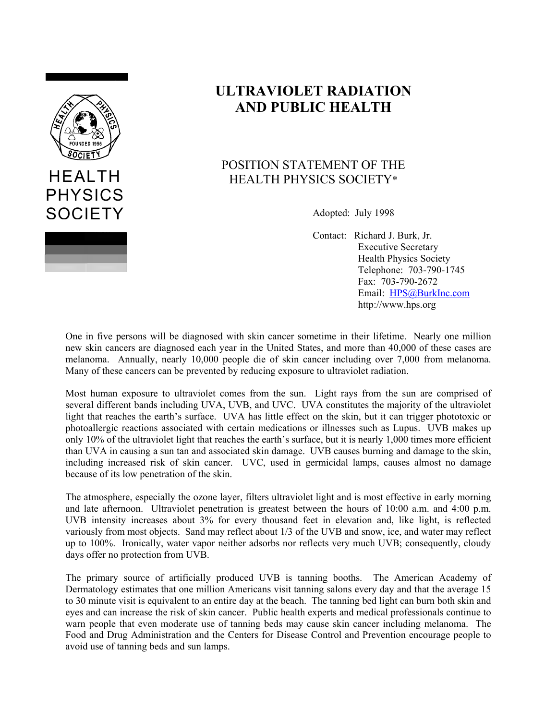

PHYSICS

**SOCIETY** 

## **ULTRAVIOLET RADIATION AND PUBLIC HEALTH**

## POSITION STATEMENT OF THE HEALTH PHYSICS SOCIETY\*

Adopted: July 1998

Contact: Richard J. Burk, Jr. Executive Secretary Health Physics Society Telephone: 703-790-1745 Fax: 703-790-2672 Email: [HPS@BurkInc.com](mailto:HPS@BurkInc.com) http://www.hps.org

One in five persons will be diagnosed with skin cancer sometime in their lifetime. Nearly one million new skin cancers are diagnosed each year in the United States, and more than 40,000 of these cases are melanoma. Annually, nearly 10,000 people die of skin cancer including over 7,000 from melanoma. Many of these cancers can be prevented by reducing exposure to ultraviolet radiation.

Most human exposure to ultraviolet comes from the sun. Light rays from the sun are comprised of several different bands including UVA, UVB, and UVC. UVA constitutes the majority of the ultraviolet light that reaches the earth's surface. UVA has little effect on the skin, but it can trigger phototoxic or photoallergic reactions associated with certain medications or illnesses such as Lupus. UVB makes up only 10% of the ultraviolet light that reaches the earth's surface, but it is nearly 1,000 times more efficient than UVA in causing a sun tan and associated skin damage. UVB causes burning and damage to the skin, including increased risk of skin cancer. UVC, used in germicidal lamps, causes almost no damage because of its low penetration of the skin.

The atmosphere, especially the ozone layer, filters ultraviolet light and is most effective in early morning and late afternoon. Ultraviolet penetration is greatest between the hours of 10:00 a.m. and 4:00 p.m. UVB intensity increases about 3% for every thousand feet in elevation and, like light, is reflected variously from most objects. Sand may reflect about 1/3 of the UVB and snow, ice, and water may reflect up to 100%. Ironically, water vapor neither adsorbs nor reflects very much UVB; consequently, cloudy days offer no protection from UVB.

The primary source of artificially produced UVB is tanning booths. The American Academy of Dermatology estimates that one million Americans visit tanning salons every day and that the average 15 to 30 minute visit is equivalent to an entire day at the beach. The tanning bed light can burn both skin and eyes and can increase the risk of skin cancer. Public health experts and medical professionals continue to warn people that even moderate use of tanning beds may cause skin cancer including melanoma. The Food and Drug Administration and the Centers for Disease Control and Prevention encourage people to avoid use of tanning beds and sun lamps.